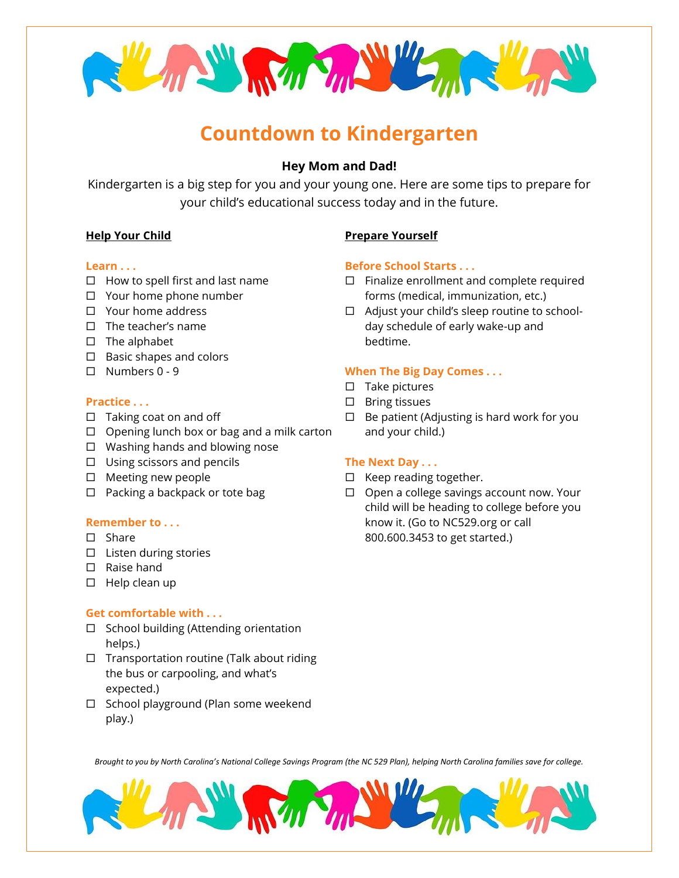

# **Countdown to Kindergarten**

# **Hey Mom and Dad!**

Kindergarten is a big step for you and your young one. Here are some tips to prepare for your child's educational success today and in the future.

## **Help Your Child**

#### **Learn . . .**

- $\Box$  How to spell first and last name
- Your home phone number
- □ Your home address
- $\Pi$  The teacher's name
- $\square$  The alphabet
- $\square$  Basic shapes and colors
- $\Box$  Numbers 0 9

## **Practice . . .**

- $\Box$  Taking coat on and off
- $\Box$  Opening lunch box or bag and a milk carton
- $\Box$  Washing hands and blowing nose
- $\Box$  Using scissors and pencils
- $\square$  Meeting new people
- $\Box$  Packing a backpack or tote bag

## **Remember to . . .**

- □ Share
- $\square$  Listen during stories
- □ Raise hand
- $\square$  Help clean up

## **Get comfortable with . . .**

- $\Box$  School building (Attending orientation helps.)
- $\Box$  Transportation routine (Talk about riding the bus or carpooling, and what's expected.)
- $\Box$  School playground (Plan some weekend play.)

# **Prepare Yourself**

## **Before School Starts . . .**

- $\Box$  Finalize enrollment and complete required forms (medical, immunization, etc.)
- □ Adjust your child's sleep routine to schoolday schedule of early wake-up and bedtime.

# **When The Big Day Comes . . .**

- $\square$  Take pictures
- $\square$  Bring tissues
- $\Box$  Be patient (Adjusting is hard work for you and your child.)

## **The Next Day . . .**

- $\Box$  Keep reading together.
- $\Box$  Open a college savings account now. Your child will be heading to college before you know it. (Go to NC529.org or call 800.600.3453 to get started.)

*Brought to you by North Carolina's National College Savings Program (the NC 529 Plan), helping North Carolina families save for college.*